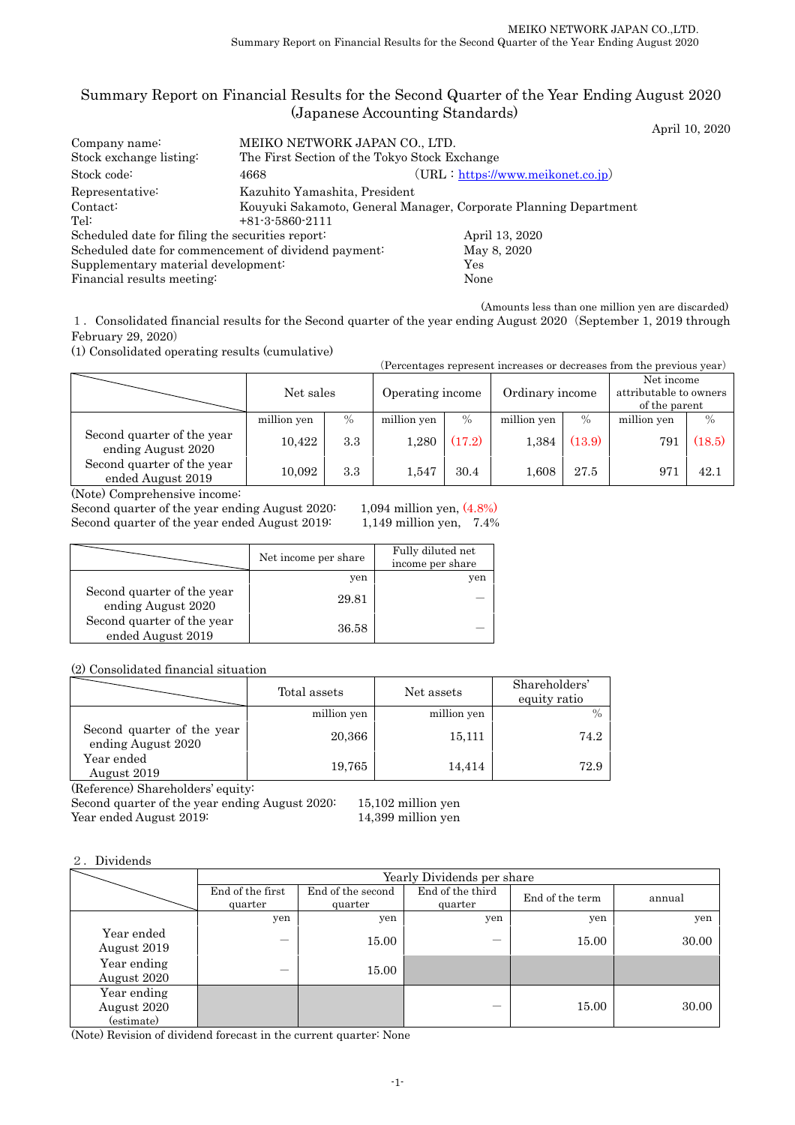# Summary Report on Financial Results for the Second Quarter of the Year Ending August 2020 (Japanese Accounting Standards)

April 10, 2020

| Company name:                                        | MEIKO NETWORK JAPAN CO., LTD.                 |                                                                  |  |  |  |  |
|------------------------------------------------------|-----------------------------------------------|------------------------------------------------------------------|--|--|--|--|
| Stock exchange listing:                              | The First Section of the Tokyo Stock Exchange |                                                                  |  |  |  |  |
| Stock code:                                          | 4668                                          | $(URL: https://www.meikonet.co.jp})$                             |  |  |  |  |
| Representative:                                      | Kazuhito Yamashita, President                 |                                                                  |  |  |  |  |
| Contact:                                             |                                               | Kouyuki Sakamoto, General Manager, Corporate Planning Department |  |  |  |  |
| Tel:                                                 | $+81 - 3 - 5860 - 2111$                       |                                                                  |  |  |  |  |
| Scheduled date for filing the securities report:     |                                               | April 13, 2020                                                   |  |  |  |  |
| Scheduled date for commencement of dividend payment: |                                               | May 8, 2020                                                      |  |  |  |  |
| Supplementary material development:                  |                                               | Yes                                                              |  |  |  |  |
| Financial results meeting:                           |                                               | None                                                             |  |  |  |  |

(Amounts less than one million yen are discarded)

1.Consolidated financial results for the Second quarter of the year ending August 2020(September 1, 2019 through February 29, 2020)

(1) Consolidated operating results (cumulative)

| (Percentages represent increases or decreases from the previous year) |             |    |                  |     |                 |  |                                                       |  |
|-----------------------------------------------------------------------|-------------|----|------------------|-----|-----------------|--|-------------------------------------------------------|--|
|                                                                       | Net sales   |    | Operating income |     | Ordinary income |  | Net income<br>attributable to owners<br>of the parent |  |
|                                                                       | million von | 0/ | million von      | 0/2 | million von     |  | million von                                           |  |

|                                                  | million yen | $\%$ | million yen | $\%$   | million yen | $\%$   | million yen | $\%$ |
|--------------------------------------------------|-------------|------|-------------|--------|-------------|--------|-------------|------|
| Second quarter of the year<br>ending August 2020 | 10,422      | 3.3  | 1,280       | (17.2) | 1,384       | (13.9) | 791         | 18.5 |
| Second quarter of the year<br>ended August 2019  | 10,092      | 3.3  | 1.547       | 30.4   | $1.608\,$   | 27.5   | 971         | 42.1 |

(Note) Comprehensive income:

Second quarter of the year ending August 2020: 1,094 million yen,  $(4.8\%)$ <br>Second quarter of the year ended August 2019: 1,149 million yen, 7.4% Second quarter of the year ended August 2019:

|                                                  | Net income per share | Fully diluted net<br>income per share |
|--------------------------------------------------|----------------------|---------------------------------------|
|                                                  | yen                  | yen                                   |
| Second quarter of the year<br>ending August 2020 | 29.81                |                                       |
| Second quarter of the year<br>ended August 2019  | 36.58                |                                       |

(2) Consolidated financial situation

|                                                  | Total assets | Net assets  | Shareholders'<br>equity ratio |
|--------------------------------------------------|--------------|-------------|-------------------------------|
|                                                  | million yen  | million yen |                               |
| Second quarter of the year<br>ending August 2020 | 20,366       | 15,111      | 74.2                          |
| Year ended<br>August 2019                        | 19,765       | 14,414      | 72.9                          |

(Reference) Shareholders' equity:

Second quarter of the year ending August 2020: 15,102 million yen Year ended August 2019: 14,399 million yen

2.Dividends

|                                          | Yearly Dividends per share  |                              |                             |                 |        |  |  |
|------------------------------------------|-----------------------------|------------------------------|-----------------------------|-----------------|--------|--|--|
|                                          | End of the first<br>quarter | End of the second<br>quarter | End of the third<br>quarter | End of the term | annual |  |  |
|                                          | yen                         | yen                          | yen                         | yen             | yen    |  |  |
| Year ended<br>August 2019                | -                           | 15.00                        |                             | 15.00           | 30.00  |  |  |
| Year ending<br>August 2020               | –                           | 15.00                        |                             |                 |        |  |  |
| Year ending<br>August 2020<br>(estimate) |                             |                              |                             | 15.00           | 30.00  |  |  |

(Note) Revision of dividend forecast in the current quarter: None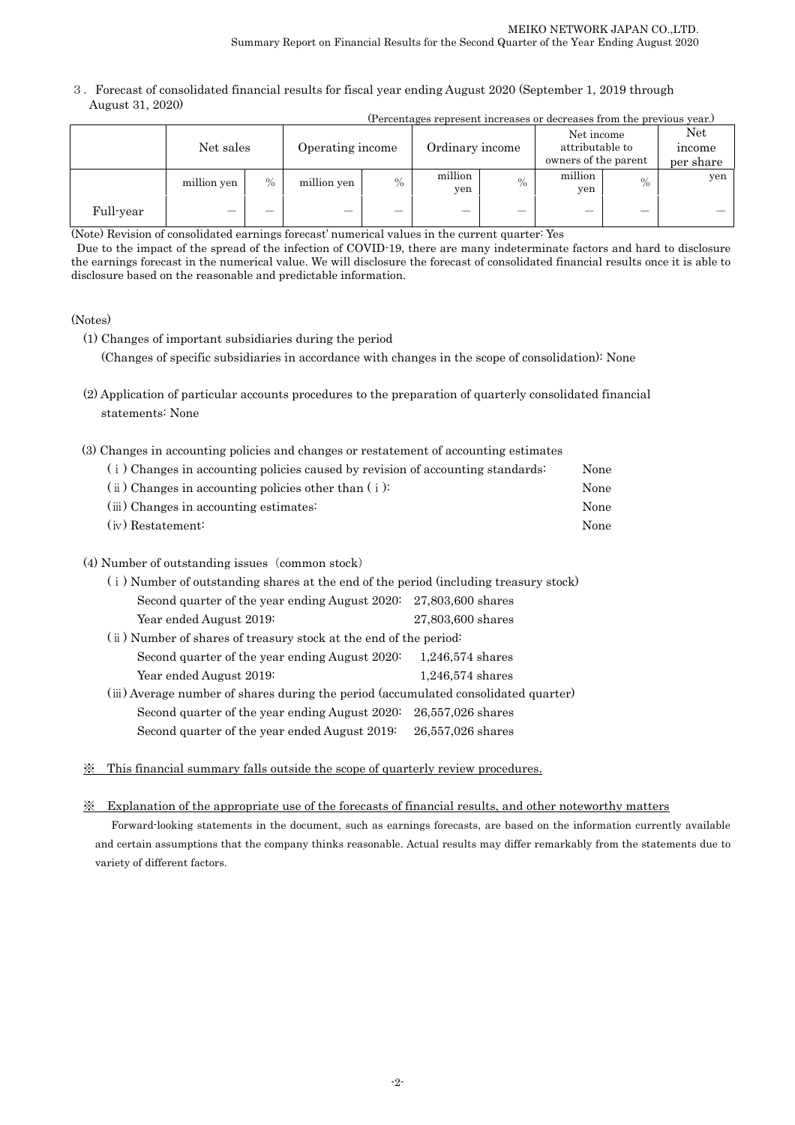3.Forecast of consolidated financial results for fiscal year ending August 2020 (September 1, 2019 through August 31, 2020)

|           | (Percentages represent increases or decreases from the previous year.) |      |                  |      |                 |      |                                                       |      |                            |
|-----------|------------------------------------------------------------------------|------|------------------|------|-----------------|------|-------------------------------------------------------|------|----------------------------|
|           | Net sales                                                              |      | Operating income |      | Ordinary income |      | Net income<br>attributable to<br>owners of the parent |      | Net<br>income<br>per share |
|           | million yen                                                            | $\%$ | million yen      | $\%$ | million<br>yen  | $\%$ | million<br>yen                                        | $\%$ | yen                        |
| Full-year |                                                                        |      |                  |      |                 |      |                                                       |      |                            |

(Note) Revision of consolidated earnings forecast' numerical values in the current quarter: Yes

 Due to the impact of the spread of the infection of COVID-19, there are many indeterminate factors and hard to disclosure the earnings forecast in the numerical value. We will disclosure the forecast of consolidated financial results once it is able to disclosure based on the reasonable and predictable information.

## (Notes)

(1) Changes of important subsidiaries during the period

(Changes of specific subsidiaries in accordance with changes in the scope of consolidation): None

- (2) Application of particular accounts procedures to the preparation of quarterly consolidated financial statements: None
- (3) Changes in accounting policies and changes or restatement of accounting estimates

| (i) Changes in accounting policies caused by revision of accounting standards: | None |
|--------------------------------------------------------------------------------|------|
| $(i)$ Changes in accounting policies other than $(i)$ :                        | None |
| (iii) Changes in accounting estimates:                                         | None |
| $(iv)$ Restatement:                                                            | None |
|                                                                                |      |

## (4) Number of outstanding issues (common stock)

| (i) Number of outstanding shares at the end of the period (including treasury stock) |                    |  |  |  |
|--------------------------------------------------------------------------------------|--------------------|--|--|--|
| Second quarter of the year ending August 2020: 27,803,600 shares                     |                    |  |  |  |
| Year ended August 2019:                                                              | 27,803,600 shares  |  |  |  |
| (ii) Number of shares of treasury stock at the end of the period:                    |                    |  |  |  |
| Second quarter of the year ending August 2020:                                       | $1,246,574$ shares |  |  |  |
| Year ended August 2019:                                                              | $1,246,574$ shares |  |  |  |
| (iii) Average number of shares during the period (accumulated consolidated quarter)  |                    |  |  |  |
| Second quarter of the year ending August 2020:                                       | 26,557,026 shares  |  |  |  |
| Second quarter of the year ended August 2019:                                        | 26,557,026 shares  |  |  |  |

※ This financial summary falls outside the scope of quarterly review procedures.

### ※ Explanation of the appropriate use of the forecasts of financial results, and other noteworthy matters

Forward-looking statements in the document, such as earnings forecasts, are based on the information currently available and certain assumptions that the company thinks reasonable. Actual results may differ remarkably from the statements due to variety of different factors.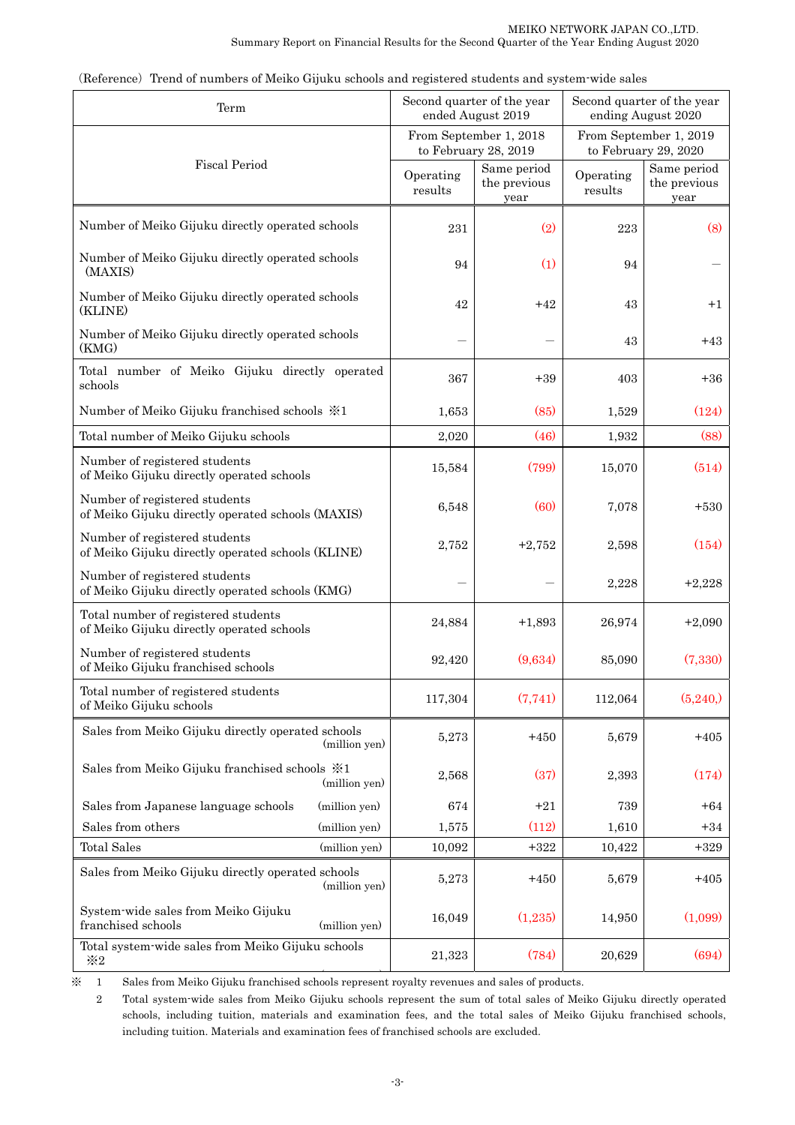| Term                                                                               |                      | Second quarter of the year<br>ended August 2019 | Second quarter of the year<br>ending August 2020 |                                     |  |
|------------------------------------------------------------------------------------|----------------------|-------------------------------------------------|--------------------------------------------------|-------------------------------------|--|
|                                                                                    |                      | From September 1, 2018<br>to February 28, 2019  | From September 1, 2019<br>to February 29, 2020   |                                     |  |
| <b>Fiscal Period</b>                                                               | Operating<br>results | Same period<br>the previous<br>year             | Operating<br>results                             | Same period<br>the previous<br>year |  |
| Number of Meiko Gijuku directly operated schools                                   | 231                  | (2)                                             | 223                                              | (8)                                 |  |
| Number of Meiko Gijuku directly operated schools<br>(MAXIS)                        | 94                   | (1)                                             | 94                                               |                                     |  |
| Number of Meiko Gijuku directly operated schools<br>(KLINE)                        | 42                   | $+42$                                           | 43                                               | $+1$                                |  |
| Number of Meiko Gijuku directly operated schools<br>(KMG)                          |                      |                                                 | 43                                               | $+43$                               |  |
| Total number of Meiko Gijuku directly operated<br>schools                          | 367                  | $+39$                                           | 403                                              | $+36$                               |  |
| Number of Meiko Gijuku franchised schools $\frac{1}{2}$ 1                          | 1,653                | (85)                                            | 1,529                                            | (124)                               |  |
| Total number of Meiko Gijuku schools                                               | 2,020                | (46)                                            | 1,932                                            | (88)                                |  |
| Number of registered students<br>of Meiko Gijuku directly operated schools         | 15,584               | (799)                                           | 15,070                                           | (514)                               |  |
| Number of registered students<br>of Meiko Gijuku directly operated schools (MAXIS) | 6,548                | (60)                                            | 7,078                                            | $+530$                              |  |
| Number of registered students<br>of Meiko Gijuku directly operated schools (KLINE) | 2,752                | $+2,752$                                        | 2,598                                            | (154)                               |  |
| Number of registered students<br>of Meiko Gijuku directly operated schools (KMG)   |                      |                                                 | 2,228                                            | $+2,228$                            |  |
| Total number of registered students<br>of Meiko Gijuku directly operated schools   | 24,884               | $+1,893$                                        | 26,974                                           | $+2,090$                            |  |
| Number of registered students<br>of Meiko Gijuku franchised schools                | 92,420               | (9,634)                                         | 85,090                                           | (7,330)                             |  |
| Total number of registered students<br>of Meiko Gijuku schools                     | 117,304              | (7,741)                                         | 112,064                                          | (5,240)                             |  |
| Sales from Meiko Gijuku directly operated schools<br>(million yen)                 | 5,273                | $+450$                                          | 5,679                                            | $+405$                              |  |
| Sales from Meiko Gijuku franchised schools $\frac{1}{2}$ 1<br>(million yen)        | 2,568                | (37)                                            | 2,393                                            | (174)                               |  |
| Sales from Japanese language schools<br>(million yen)                              | 674                  | $+21$                                           | 739                                              | $+64$                               |  |
| Sales from others<br>(million yen)                                                 | 1,575                | (112)                                           | 1,610                                            | $+34$                               |  |
| <b>Total Sales</b><br>(million yen)                                                | 10,092               | $+322$                                          | 10,422                                           | $+329$                              |  |
| Sales from Meiko Gijuku directly operated schools<br>(million yen)                 | 5,273                | $+450$                                          | 5,679                                            | $+405$                              |  |
| System-wide sales from Meiko Gijuku<br>franchised schools<br>(million yen)         | 16,049               | (1,235)                                         | 14,950                                           | (1,099)                             |  |
| Total system-wide sales from Meiko Gijuku schools<br>$\divideontimes 2$            | 21,323               | (784)                                           | 20,629                                           | (694)                               |  |

(Reference) Trend of numbers of Meiko Gijuku schools and registered students and system-wide sales

( ) ※ 1 Sales from Meiko Gijuku franchised schools represent royalty revenues and sales of products.

 2 Total system-wide sales from Meiko Gijuku schools represent the sum of total sales of Meiko Gijuku directly operated schools, including tuition, materials and examination fees, and the total sales of Meiko Gijuku franchised schools, including tuition. Materials and examination fees of franchised schools are excluded.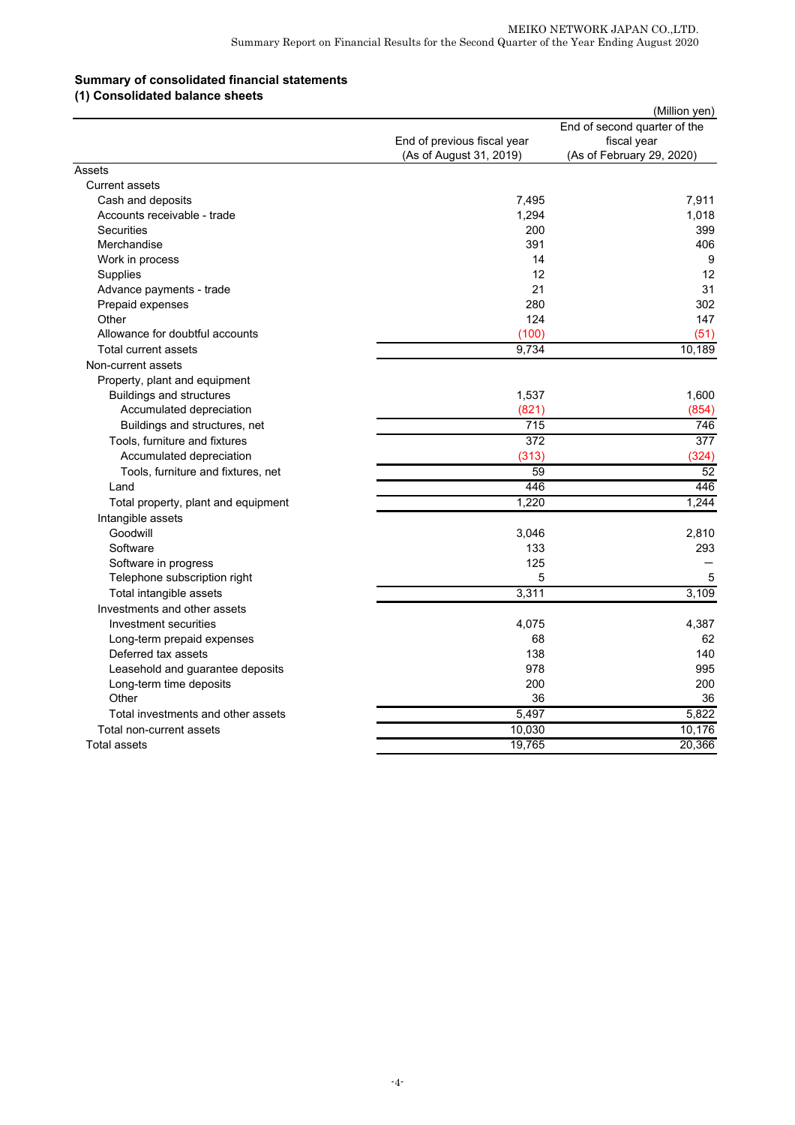# **Summary of consolidated financial statements**

| (1) Consolidated balance sheets |  |
|---------------------------------|--|
|---------------------------------|--|

|                                     |                                                        | (Million yen)                                                            |
|-------------------------------------|--------------------------------------------------------|--------------------------------------------------------------------------|
|                                     | End of previous fiscal year<br>(As of August 31, 2019) | End of second quarter of the<br>fiscal year<br>(As of February 29, 2020) |
| Assets                              |                                                        |                                                                          |
| Current assets                      |                                                        |                                                                          |
| Cash and deposits                   | 7,495                                                  | 7,911                                                                    |
| Accounts receivable - trade         | 1,294                                                  | 1,018                                                                    |
| <b>Securities</b>                   | 200                                                    | 399                                                                      |
| Merchandise                         | 391                                                    | 406                                                                      |
| Work in process                     | 14                                                     | 9                                                                        |
| Supplies                            | 12                                                     | 12                                                                       |
| Advance payments - trade            | 21                                                     | 31                                                                       |
| Prepaid expenses                    | 280                                                    | 302                                                                      |
| Other                               | 124                                                    | 147                                                                      |
| Allowance for doubtful accounts     | (100)                                                  | (51)                                                                     |
| Total current assets                | 9.734                                                  | 10,189                                                                   |
| Non-current assets                  |                                                        |                                                                          |
| Property, plant and equipment       |                                                        |                                                                          |
| <b>Buildings and structures</b>     | 1,537                                                  | 1,600                                                                    |
| Accumulated depreciation            | (821)                                                  | (854)                                                                    |
| Buildings and structures, net       | 715                                                    | 746                                                                      |
| Tools, furniture and fixtures       | 372                                                    | 377                                                                      |
| Accumulated depreciation            | (313)                                                  | (324)                                                                    |
| Tools, furniture and fixtures, net  | 59                                                     | 52                                                                       |
| Land                                | 446                                                    | 446                                                                      |
| Total property, plant and equipment | 1,220                                                  | 1,244                                                                    |
| Intangible assets                   |                                                        |                                                                          |
| Goodwill                            | 3,046                                                  | 2,810                                                                    |
| Software                            | 133                                                    | 293                                                                      |
| Software in progress                | 125                                                    |                                                                          |
| Telephone subscription right        | 5                                                      | 5                                                                        |
| Total intangible assets             | 3,311                                                  | 3,109                                                                    |
| Investments and other assets        |                                                        |                                                                          |
| Investment securities               | 4,075                                                  | 4,387                                                                    |
| Long-term prepaid expenses          | 68                                                     | 62                                                                       |
| Deferred tax assets                 | 138                                                    | 140                                                                      |
| Leasehold and guarantee deposits    | 978                                                    | 995                                                                      |
| Long-term time deposits             | 200                                                    | 200                                                                      |
| Other                               | 36                                                     | 36                                                                       |
| Total investments and other assets  | 5,497                                                  | 5.822                                                                    |
| Total non-current assets            | 10,030                                                 | 10,176                                                                   |
| Total assets                        | 19,765                                                 | 20,366                                                                   |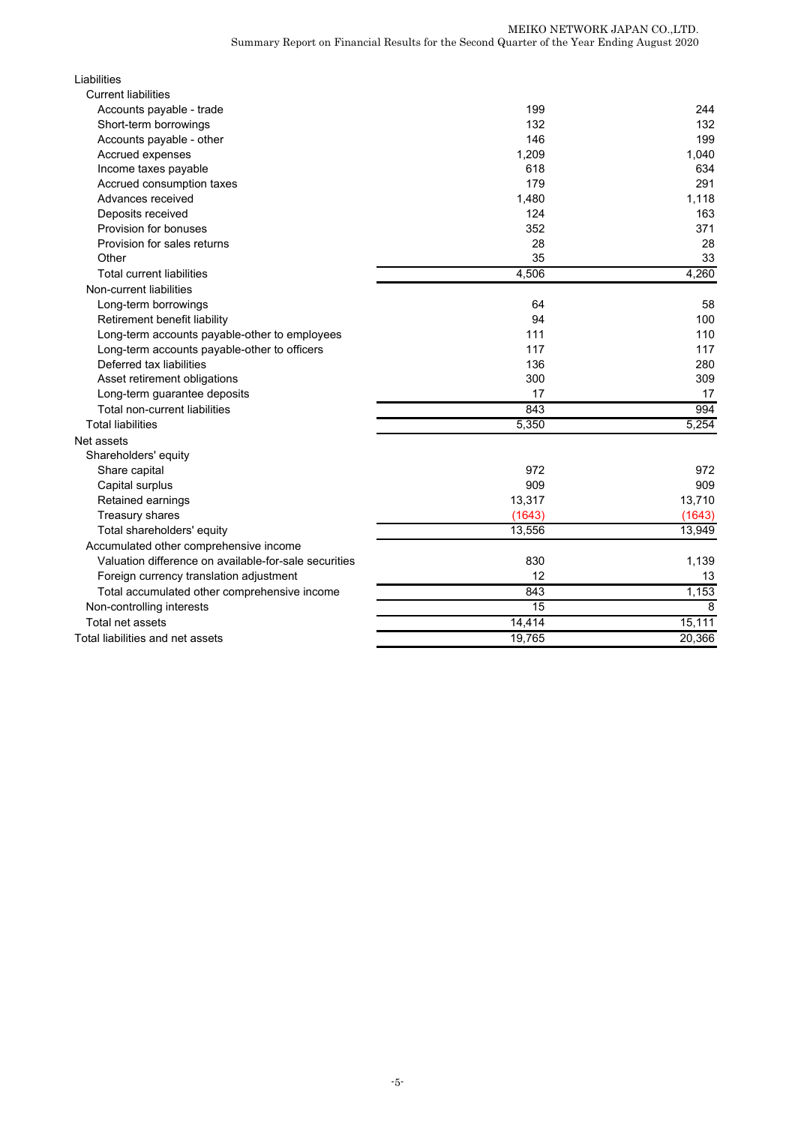| Liabilities                                           |        |        |
|-------------------------------------------------------|--------|--------|
| <b>Current liabilities</b>                            |        |        |
| Accounts payable - trade                              | 199    | 244    |
| Short-term borrowings                                 | 132    | 132    |
| Accounts payable - other                              | 146    | 199    |
| Accrued expenses                                      | 1,209  | 1,040  |
| Income taxes payable                                  | 618    | 634    |
| Accrued consumption taxes                             | 179    | 291    |
| Advances received                                     | 1,480  | 1,118  |
| Deposits received                                     | 124    | 163    |
| Provision for bonuses                                 | 352    | 371    |
| Provision for sales returns                           | 28     | 28     |
| Other                                                 | 35     | 33     |
| <b>Total current liabilities</b>                      | 4,506  | 4,260  |
| Non-current liabilities                               |        |        |
| Long-term borrowings                                  | 64     | 58     |
| Retirement benefit liability                          | 94     | 100    |
| Long-term accounts payable-other to employees         | 111    | 110    |
| Long-term accounts payable-other to officers          | 117    | 117    |
| Deferred tax liabilities                              | 136    | 280    |
| Asset retirement obligations                          | 300    | 309    |
| Long-term guarantee deposits                          | 17     | 17     |
| Total non-current liabilities                         | 843    | 994    |
| <b>Total liabilities</b>                              | 5,350  | 5,254  |
| Net assets                                            |        |        |
| Shareholders' equity                                  |        |        |
| Share capital                                         | 972    | 972    |
| Capital surplus                                       | 909    | 909    |
| Retained earnings                                     | 13,317 | 13,710 |
| Treasury shares                                       | (1643) | (1643) |
| Total shareholders' equity                            | 13,556 | 13,949 |
| Accumulated other comprehensive income                |        |        |
| Valuation difference on available-for-sale securities | 830    | 1,139  |
| Foreign currency translation adjustment               | 12     | 13     |
| Total accumulated other comprehensive income          | 843    | 1,153  |
| Non-controlling interests                             | 15     | 8      |
| Total net assets                                      | 14,414 | 15,111 |
| Total liabilities and net assets                      | 19,765 | 20,366 |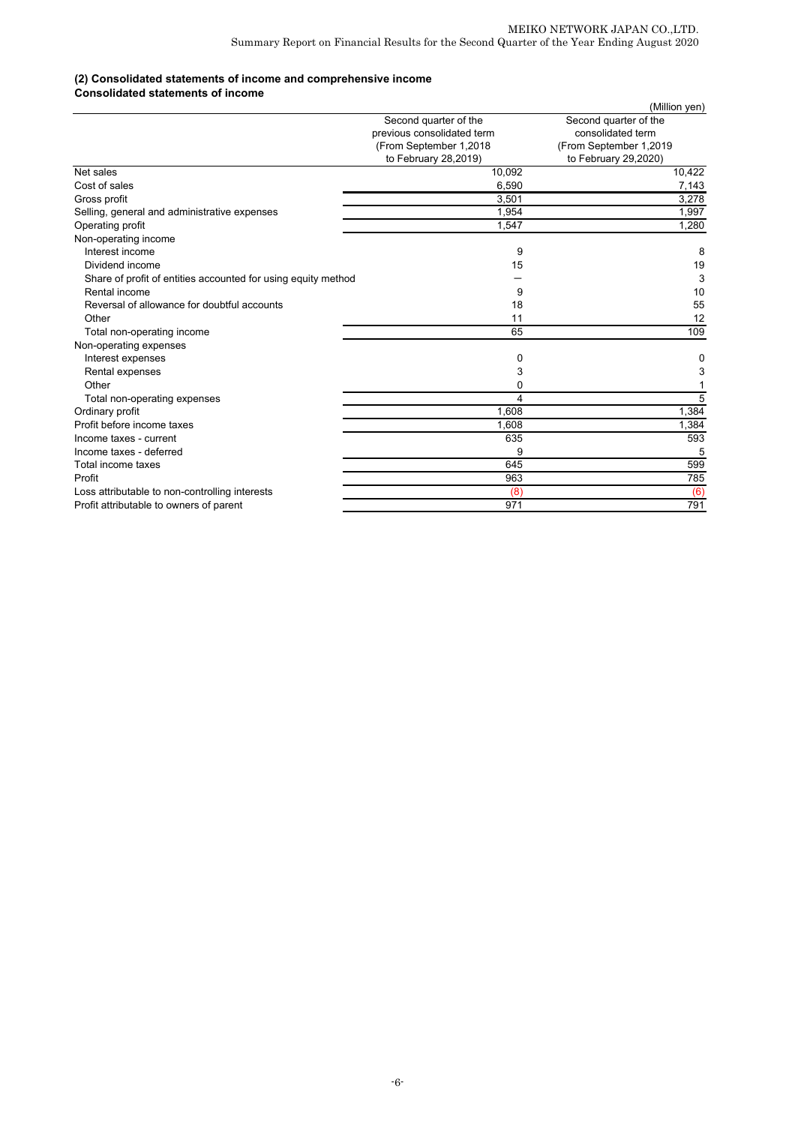### **(2) Consolidated statements of income and comprehensive income**

#### **Consolidated statements of income**

|                                                               |                            | (Million yen)           |
|---------------------------------------------------------------|----------------------------|-------------------------|
|                                                               | Second quarter of the      | Second quarter of the   |
|                                                               | previous consolidated term | consolidated term       |
|                                                               | (From September 1,2018     | (From September 1,2019) |
|                                                               | to February 28,2019)       | to February 29,2020)    |
| Net sales                                                     | 10,092                     | 10,422                  |
| Cost of sales                                                 | 6,590                      | 7,143                   |
| Gross profit                                                  | 3,501                      | 3,278                   |
| Selling, general and administrative expenses                  | 1,954                      | 1,997                   |
| Operating profit                                              | 1,547                      | 1,280                   |
| Non-operating income                                          |                            |                         |
| Interest income                                               | 9                          | 8                       |
| Dividend income                                               | 15                         | 19                      |
| Share of profit of entities accounted for using equity method |                            | 3                       |
| Rental income                                                 | 9                          | 10                      |
| Reversal of allowance for doubtful accounts                   | 18                         | 55                      |
| Other                                                         | 11                         | 12                      |
| Total non-operating income                                    | 65                         | 109                     |
| Non-operating expenses                                        |                            |                         |
| Interest expenses                                             | 0                          | 0                       |
| Rental expenses                                               | 3                          | 3                       |
| Other                                                         | 0                          |                         |
| Total non-operating expenses                                  | 4                          | 5                       |
| Ordinary profit                                               | 1,608                      | 1,384                   |
| Profit before income taxes                                    | 1,608                      | 1,384                   |
| Income taxes - current                                        | 635                        | 593                     |
| Income taxes - deferred                                       | 9                          | 5                       |
| Total income taxes                                            | 645                        | 599                     |
| Profit                                                        | 963                        | 785                     |
| Loss attributable to non-controlling interests                | (8)                        | (6)                     |
| Profit attributable to owners of parent                       | 971                        | 791                     |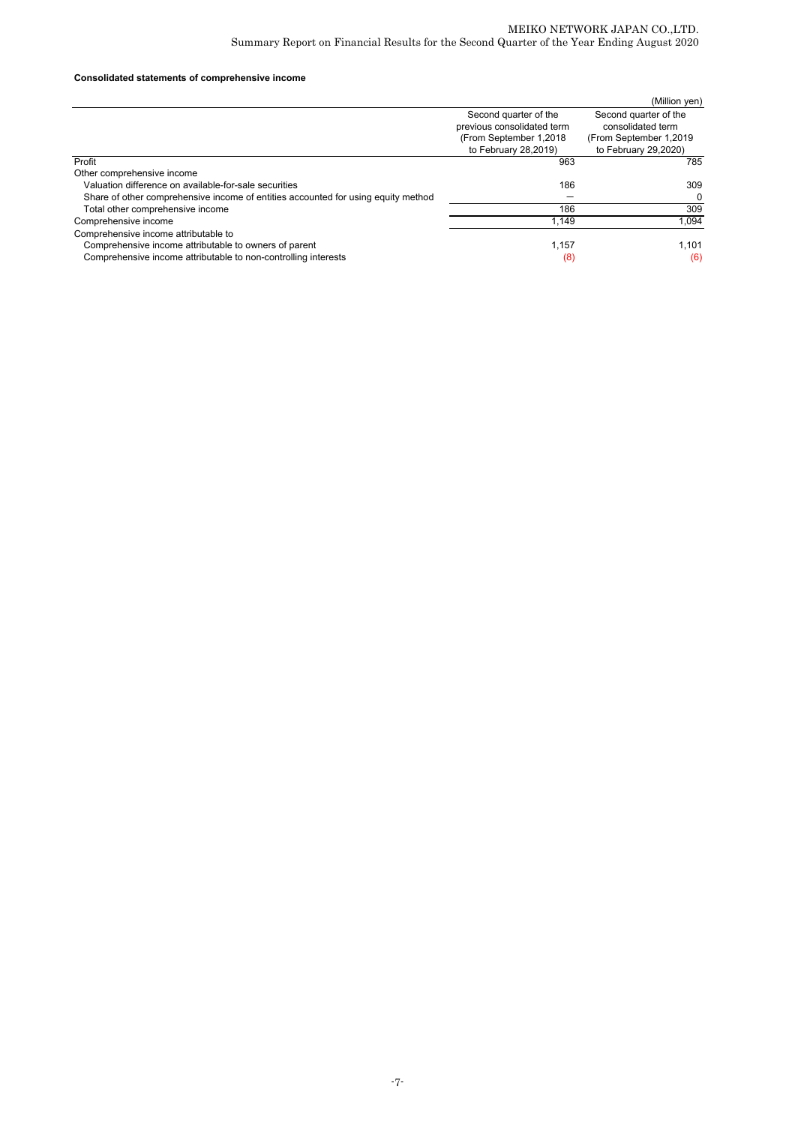## **Consolidated statements of comprehensive income**

|                                                                                   |                                                     | (Million yen)                              |
|-----------------------------------------------------------------------------------|-----------------------------------------------------|--------------------------------------------|
|                                                                                   | Second quarter of the<br>previous consolidated term | Second quarter of the<br>consolidated term |
|                                                                                   | (From September 1,2018                              | (From September 1,2019)                    |
|                                                                                   | to February 28,2019)                                | to February 29,2020)                       |
| Profit                                                                            | 963                                                 | 785                                        |
| Other comprehensive income                                                        |                                                     |                                            |
| Valuation difference on available-for-sale securities                             | 186                                                 | 309                                        |
| Share of other comprehensive income of entities accounted for using equity method |                                                     | 0                                          |
| Total other comprehensive income                                                  | 186                                                 | 309                                        |
| Comprehensive income                                                              | 1.149                                               | 1.094                                      |
| Comprehensive income attributable to                                              |                                                     |                                            |
| Comprehensive income attributable to owners of parent                             | 1,157                                               | 1.101                                      |
| Comprehensive income attributable to non-controlling interests                    | (8)                                                 | (6)                                        |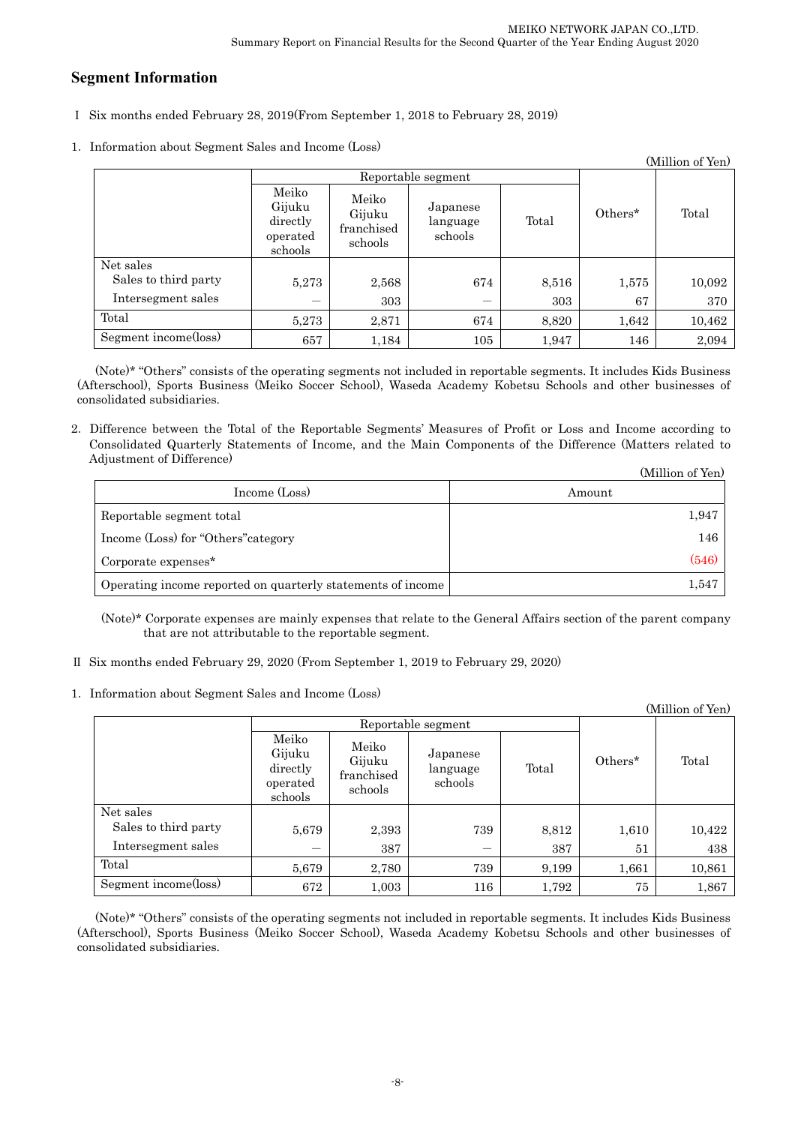# **Segment Information**

- Ⅰ Six months ended February 28, 2019(From September 1, 2018 to February 28, 2019)
- 1.Information about Segment Sales and Income (Loss)

|                      |                                                    |                                          |                                 |       |            | (Million of Yen) |
|----------------------|----------------------------------------------------|------------------------------------------|---------------------------------|-------|------------|------------------|
|                      | Reportable segment                                 |                                          |                                 |       |            |                  |
|                      | Meiko<br>Gijuku<br>directly<br>operated<br>schools | Meiko<br>Gijuku<br>franchised<br>schools | Japanese<br>language<br>schools | Total | $Others^*$ | Total            |
| Net sales            |                                                    |                                          |                                 |       |            |                  |
| Sales to third party | 5,273                                              | 2,568                                    | 674                             | 8,516 | 1,575      | 10,092           |
| Intersegment sales   | –                                                  | 303                                      | $\qquad \qquad$                 | 303   | 67         | 370              |
| Total                | 5,273                                              | 2,871                                    | 674                             | 8,820 | 1,642      | 10,462           |
| Segment income(loss) | 657                                                | 1,184                                    | 105                             | 1,947 | 146        | 2,094            |

(Note)\* "Others" consists of the operating segments not included in reportable segments. It includes Kids Business (Afterschool), Sports Business (Meiko Soccer School), Waseda Academy Kobetsu Schools and other businesses of consolidated subsidiaries.

2.Difference between the Total of the Reportable Segments' Measures of Profit or Loss and Income according to Consolidated Quarterly Statements of Income, and the Main Components of the Difference (Matters related to Adjustment of Difference)  $(MT<sup>1</sup>)$ 

|                                                             | (Million of Yen) |
|-------------------------------------------------------------|------------------|
| Income (Loss)                                               | Amount           |
| Reportable segment total                                    | 1,947            |
| Income (Loss) for "Others" category                         | 146              |
| Corporate expenses <sup>*</sup>                             | (546)            |
| Operating income reported on quarterly statements of income | 1,547            |

(Note)\* Corporate expenses are mainly expenses that relate to the General Affairs section of the parent company that are not attributable to the reportable segment.

- Ⅱ Six months ended February 29, 2020 (From September 1, 2019 to February 29, 2020)
- 1.Information about Segment Sales and Income (Loss)

|                      |                                                    |                                          |                                 |       |         | (Million of Yen) |
|----------------------|----------------------------------------------------|------------------------------------------|---------------------------------|-------|---------|------------------|
|                      | Reportable segment                                 |                                          |                                 |       |         |                  |
|                      | Meiko<br>Gijuku<br>directly<br>operated<br>schools | Meiko<br>Gijuku<br>franchised<br>schools | Japanese<br>language<br>schools | Total | Others* | Total            |
| Net sales            |                                                    |                                          |                                 |       |         |                  |
| Sales to third party | 5,679                                              | 2,393                                    | 739                             | 8,812 | 1,610   | 10,422           |
| Intersegment sales   |                                                    | 387                                      | —                               | 387   | 51      | 438              |
| Total                | 5,679                                              | 2,780                                    | 739                             | 9,199 | 1,661   | 10,861           |
| Segment income(loss) | 672                                                | 1,003                                    | 116                             | 1,792 | 75      | 1,867            |

(Note)\* "Others" consists of the operating segments not included in reportable segments. It includes Kids Business (Afterschool), Sports Business (Meiko Soccer School), Waseda Academy Kobetsu Schools and other businesses of consolidated subsidiaries.